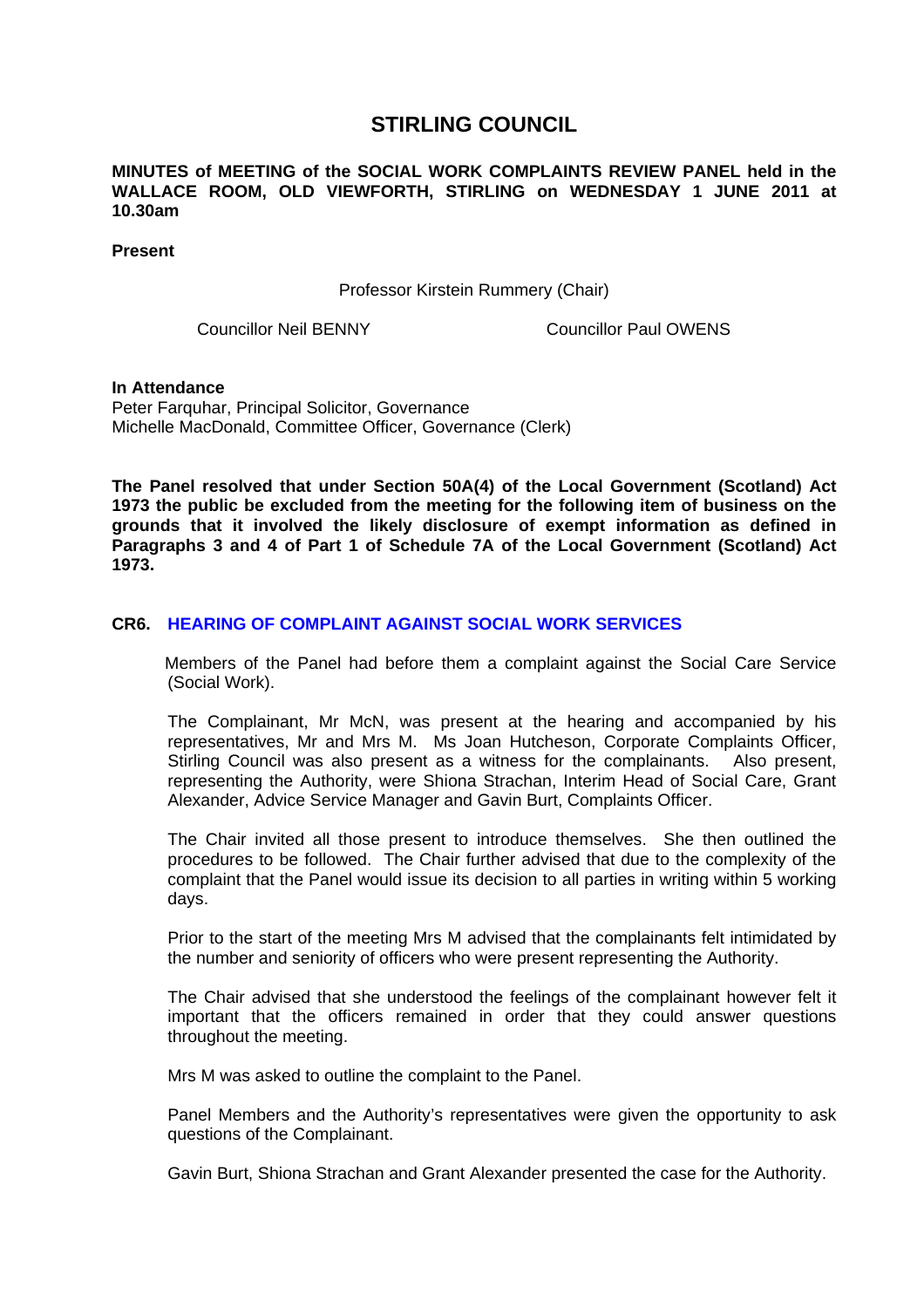# **STIRLING COUNCIL**

### **MINUTES of MEETING of the SOCIAL WORK COMPLAINTS REVIEW PANEL held in the WALLACE ROOM, OLD VIEWFORTH, STIRLING on WEDNESDAY 1 JUNE 2011 at 10.30am**

**Present** 

Professor Kirstein Rummery (Chair)

Councillor Neil BENNY Councillor Paul OWENS

#### **In Attendance**

Peter Farquhar, Principal Solicitor, Governance Michelle MacDonald, Committee Officer, Governance (Clerk)

**The Panel resolved that under Section 50A(4) of the Local Government (Scotland) Act 1973 the public be excluded from the meeting for the following item of business on the grounds that it involved the likely disclosure of exempt information as defined in Paragraphs 3 and 4 of Part 1 of Schedule 7A of the Local Government (Scotland) Act 1973.** 

### **[CR6. HEARING OF COMPLAINT AGAINST SOCIAL WORK SERVICES](/forms/request.htm)**

Members of the Panel had before them a complaint against the Social Care Service (Social Work).

The Complainant, Mr McN, was present at the hearing and accompanied by his representatives, Mr and Mrs M. Ms Joan Hutcheson, Corporate Complaints Officer, Stirling Council was also present as a witness for the complainants. Also present, representing the Authority, were Shiona Strachan, Interim Head of Social Care, Grant Alexander, Advice Service Manager and Gavin Burt, Complaints Officer.

The Chair invited all those present to introduce themselves. She then outlined the procedures to be followed. The Chair further advised that due to the complexity of the complaint that the Panel would issue its decision to all parties in writing within 5 working days.

Prior to the start of the meeting Mrs M advised that the complainants felt intimidated by the number and seniority of officers who were present representing the Authority.

The Chair advised that she understood the feelings of the complainant however felt it important that the officers remained in order that they could answer questions throughout the meeting.

Mrs M was asked to outline the complaint to the Panel.

Panel Members and the Authority's representatives were given the opportunity to ask questions of the Complainant.

Gavin Burt, Shiona Strachan and Grant Alexander presented the case for the Authority.